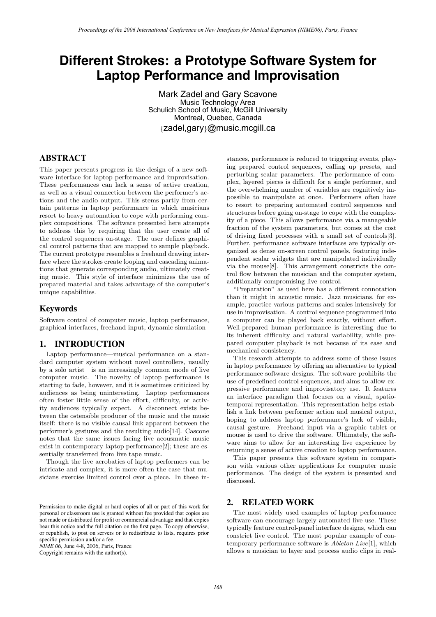# **Different Strokes: a Prototype Software System for Laptop Performance and Improvisation**

Mark Zadel and Gary Scavone Music Technology Area Schulich School of Music, McGill University Montreal, Quebec, Canada {zadel,gary}@music.mcgill.ca

## **ABSTRACT**

This paper presents progress in the design of a new software interface for laptop performance and improvisation. These performances can lack a sense of active creation, as well as a visual connection between the performer's actions and the audio output. This stems partly from certain patterns in laptop performance in which musicians resort to heavy automation to cope with performing complex compositions. The software presented here attempts to address this by requiring that the user create all of the control sequences on-stage. The user defines graphical control patterns that are mapped to sample playback. The current prototype resembles a freehand drawing interface where the strokes create looping and cascading animations that generate corresponding audio, ultimately creating music. This style of interface minimizes the use of prepared material and takes advantage of the computer's unique capabilities.

#### **Keywords**

Software control of computer music, laptop performance, graphical interfaces, freehand input, dynamic simulation

## **1. INTRODUCTION**

Laptop performance—musical performance on a standard computer system without novel controllers, usually by a solo artist—is an increasingly common mode of live computer music. The novelty of laptop performance is starting to fade, however, and it is sometimes criticized by audiences as being uninteresting. Laptop performances often foster little sense of the effort, difficulty, or activity audiences typically expect. A disconnect exists between the ostensible producer of the music and the music itself: there is no visible causal link apparent between the performer's gestures and the resulting audio[14]. Cascone notes that the same issues facing live acousmatic music exist in contemporary laptop performance[2]; these are essentially transferred from live tape music.

Though the live acrobatics of laptop performers can be intricate and complex, it is more often the case that musicians exercise limited control over a piece. In these in-

*NIME 06,* June 4-8, 2006, Paris, France

Copyright remains with the author(s).

stances, performance is reduced to triggering events, playing prepared control sequences, calling up presets, and perturbing scalar parameters. The performance of complex, layered pieces is difficult for a single performer, and the overwhelming number of variables are cognitively impossible to manipulate at once. Performers often have to resort to preparing automated control sequences and structures before going on-stage to cope with the complexity of a piece. This allows performance via a manageable fraction of the system parameters, but comes at the cost of driving fixed processes with a small set of controls[3]. Further, performance software interfaces are typically organized as dense on-screen control panels, featuring independent scalar widgets that are manipulated individually via the mouse[8]. This arrangement constricts the control flow between the musician and the computer system, additionally compromising live control.

"Preparation" as used here has a different connotation than it might in acoustic music. Jazz musicians, for example, practice various patterns and scales intensively for use in improvisation. A control sequence programmed into a computer can be played back exactly, without effort. Well-prepared human performance is interesting due to its inherent difficulty and natural variability, while prepared computer playback is not because of its ease and mechanical consistency.

This research attempts to address some of these issues in laptop performance by offering an alternative to typical performance software designs. The software prohibits the use of predefined control sequences, and aims to allow expressive performance and improvisatory use. It features an interface paradigm that focuses on a visual, spatiotemporal representation. This representation helps establish a link between performer action and musical output, hoping to address laptop performance's lack of visible, causal gesture. Freehand input via a graphic tablet or mouse is used to drive the software. Ultimately, the software aims to allow for an interesting live experience by returning a sense of active creation to laptop performance.

This paper presents this software system in comparison with various other applications for computer music performance. The design of the system is presented and discussed.

## **2. RELATED WORK**

The most widely used examples of laptop performance software can encourage largely automated live use. These typically feature control-panel interface designs, which can constrict live control. The most popular example of contemporary performance software is Ableton Live[1], which allows a musician to layer and process audio clips in real-

Permission to make digital or hard copies of all or part of this work for personal or classroom use is granted without fee provided that copies are not made or distributed for profit or commercial advantage and that copies bear this notice and the full citation on the first page. To copy otherwise, or republish, to post on servers or to redistribute to lists, requires prior specific permission and/or a fee.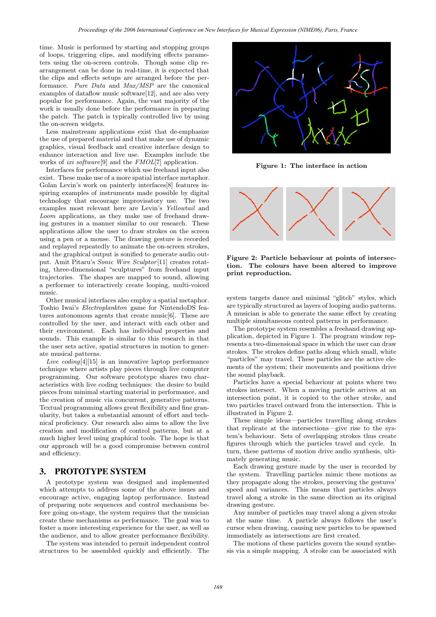time. Music is performed by starting and stopping groups of loops, triggering clips, and modifying effects parameters using the on-screen controls. Though some clip rearrangement can be done in real-time, it is expected that the clips and effects setups are arranged before the performance. Pure Data and Max/MSP are the canonical examples of dataflow music software[12], and are also very popular for performance. Again, the vast majority of the work is usually done before the performance in preparing the patch. The patch is typically controlled live by using the on-screen widgets.

Less mainstream applications exist that de-emphasize the use of prepared material and that make use of dynamic graphics, visual feedback and creative interface design to enhance interaction and live use. Examples include the works of *ixi software*<sup>[9]</sup> and the *FMOL*[7] application.

Interfaces for performance which use freehand input also exist. These make use of a more spatial interface metaphor. Golan Levin's work on painterly interfaces[8] features inspiring examples of instruments made possible by digital technology that encourage improvisatory use. The two examples most relevant here are Levin's Yellowtail and Loom applications, as they make use of freehand drawing gestures in a manner similar to our research. These applications allow the user to draw strokes on the screen using a pen or a mouse. The drawing gesture is recorded and replayed repeatedly to animate the on-screen strokes, and the graphical output is sonified to generate audio output. Amit Pitaru's Sonic Wire Sculptor[11] creates rotating, three-dimensional "sculptures" from freehand input trajectories. The shapes are mapped to sound, allowing a performer to interactively create looping, multi-voiced music.

Other musical interfaces also employ a spatial metaphor. Toshio Iwai's Electroplankton game for NintendoDS features autonomous agents that create music[6]. These are controlled by the user, and interact with each other and their environment. Each has individual properties and sounds. This example is similar to this research in that the user sets active, spatial structures in motion to generate musical patterns.

Live  $coding[4][15]$  is an innovative laptop performance technique where artists play pieces through live computer programming. Our software prototype shares two characteristics with live coding techniques: the desire to build pieces from minimal starting material in performance, and the creation of music via concurrent, generative patterns. Textual programming allows great flexibility and fine granularity, but takes a substantial amount of effort and technical proficiency. Our research also aims to allow the live creation and modification of control patterns, but at a much higher level using graphical tools. The hope is that our approach will be a good compromise between control and efficiency.

## **3. PROTOTYPE SYSTEM**

A prototype system was designed and implemented which attempts to address some of the above issues and encourage active, engaging laptop performance. Instead of preparing note sequences and control mechanisms before going on-stage, the system requires that the musician create these mechanisms as performance. The goal was to foster a more interesting experience for the user, as well as the audience, and to allow greater performance flexibility.

The system was intended to permit independent control structures to be assembled quickly and efficiently. The



Figure 1: The interface in action



Figure 2: Particle behaviour at points of intersection. The colours have been altered to improve print reproduction.

system targets dance and minimal "glitch" styles, which are typically structured as layers of looping audio patterns. A musician is able to generate the same effect by creating multiple simultaneous control patterns in performance.

The prototype system resembles a freehand drawing application, depicted in Figure 1. The program window represents a two-dimensional space in which the user can draw strokes. The strokes define paths along which small, white "particles" may travel. These particles are the active elements of the system; their movements and positions drive the sound playback.

Particles have a special behaviour at points where two strokes intersect. When a moving particle arrives at an intersection point, it is copied to the other stroke, and two particles travel outward from the intersection. This is illustrated in Figure 2.

These simple ideas—particles travelling along strokes that replicate at the intersections—give rise to the system's behaviour. Sets of overlapping strokes thus create figures through which the particles travel and cycle. In turn, these patterns of motion drive audio synthesis, ultimately generating music.

Each drawing gesture made by the user is recorded by the system. Travelling particles mimic these motions as they propagate along the strokes, preserving the gestures' speed and variances. This means that particles always travel along a stroke in the same direction as its original drawing gesture.

Any number of particles may travel along a given stroke at the same time. A particle always follows the user's cursor when drawing, causing new particles to be spawned immediately as intersections are first created.

The motions of these particles govern the sound synthesis via a simple mapping. A stroke can be associated with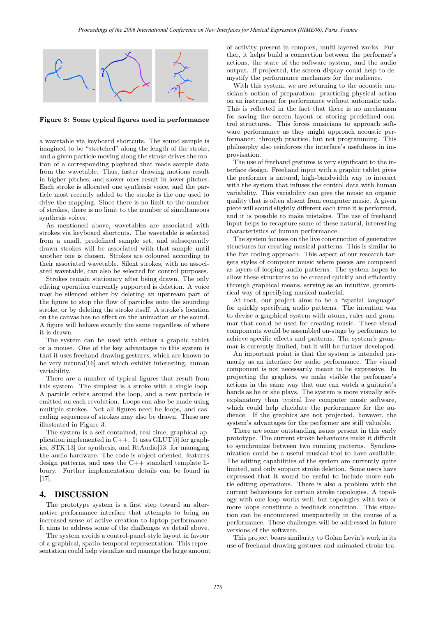

Figure 3: Some typical figures used in performance

a wavetable via keyboard shortcuts. The sound sample is imagined to be "stretched" along the length of the stroke, and a given particle moving along the stroke drives the motion of a corresponding playhead that reads sample data from the wavetable. Thus, faster drawing motions result in higher pitches, and slower ones result in lower pitches. Each stroke is allocated one synthesis voice, and the particle most recently added to the stroke is the one used to drive the mapping. Since there is no limit to the number of strokes, there is no limit to the number of simultaneous synthesis voices.

As mentioned above, wavetables are associated with strokes via keyboard shortcuts. The wavetable is selected from a small, predefined sample set, and subsequently drawn strokes will be associated with that sample until another one is chosen. Strokes are coloured according to their associated wavetable. Silent strokes, with no associated wavetable, can also be selected for control purposes.

Strokes remain stationary after being drawn. The only editing operation currently supported is deletion. A voice may be silenced either by deleting an upstream part of the figure to stop the flow of particles onto the sounding stroke, or by deleting the stroke itself. A stroke's location on the canvas has no effect on the animation or the sound. A figure will behave exactly the same regardless of where it is drawn.

The system can be used with either a graphic tablet or a mouse. One of the key advantages to this system is that it uses freehand drawing gestures, which are known to be very natural[16] and which exhibit interesting, human variability.

There are a number of typical figures that result from this system. The simplest is a stroke with a single loop. A particle orbits around the loop, and a new particle is emitted on each revolution. Loops can also be made using multiple strokes. Not all figures need be loops, and cascading sequences of strokes may also be drawn. These are illustrated in Figure 3.

The system is a self-contained, real-time, graphical application implemented in  $C++$ . It uses GLUT[5] for graphics, STK[13] for synthesis, and RtAudio[13] for managing the audio hardware. The code is object-oriented, features design patterns, and uses the C++ standard template library. Further implementation details can be found in [17].

#### **4. DISCUSSION**

The prototype system is a first step toward an alternative performance interface that attempts to bring an increased sense of active creation to laptop performance. It aims to address some of the challenges we detail above.

The system avoids a control-panel-style layout in favour of a graphical, spatio-temporal representation. This representation could help visualize and manage the large amount of activity present in complex, multi-layered works. Further, it helps build a connection between the performer's actions, the state of the software system, and the audio output. If projected, the screen display could help to demystify the performance mechanics for the audience.

With this system, we are returning to the acoustic musician's notion of preparation: practicing physical action on an instrument for performance without automatic aids. This is reflected in the fact that there is no mechanism for saving the screen layout or storing predefined control structures. This forces musicians to approach software performance as they might approach acoustic performance: through practice, but not programming. This philosophy also reinforces the interface's usefulness in improvisation.

The use of freehand gestures is very significant to the interface design. Freehand input with a graphic tablet gives the performer a natural, high-bandwidth way to interact with the system that infuses the control data with human variability. This variability can give the music an organic quality that is often absent from computer music. A given piece will sound slightly different each time it is performed, and it is possible to make mistakes. The use of freehand input helps to recapture some of these natural, interesting characteristics of human performance.

The system focuses on the live construction of generative structures for creating musical patterns. This is similar to the live coding approach. This aspect of our research targets styles of computer music where pieces are composed as layers of looping audio patterns. The system hopes to allow these structures to be created quickly and efficiently through graphical means, serving as an intuitive, geometrical way of specifying musical material.

At root, our project aims to be a "spatial language" for quickly specifying audio patterns. The intention was to devise a graphical system with atoms, rules and grammar that could be used for creating music. These visual components would be assembled on-stage by performers to achieve specific effects and patterns. The system's grammar is currently limited, but it will be further developed.

An important point is that the system is intended primarily as an interface for audio performance. The visual component is not necessarily meant to be expressive. In projecting the graphics, we make visible the performer's actions in the same way that one can watch a guitarist's hands as he or she plays. The system is more visually selfexplanatory than typical live computer music software, which could help elucidate the performance for the audience. If the graphics are not projected, however, the system's advantages for the performer are still valuable.

There are some outstanding issues present in this early prototype. The current stroke behaviours make it difficult to synchronize between two running patterns. Synchronization could be a useful musical tool to have available. The editing capabilities of the system are currently quite limited, and only support stroke deletion. Some users have expressed that it would be useful to include more subtle editing operations. There is also a problem with the current behaviours for certain stroke topologies. A topology with one loop works well, but topologies with two or more loops constitute a feedback condition. This situation can be encountered unexpectedly in the course of a performance. These challenges will be addressed in future versions of the software.

This project bears similarity to Golan Levin's work in its use of freehand drawing gestures and animated stroke tra